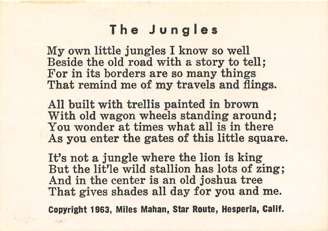## The Jungles

My own little jungles I know so well Beside the old road with a story to tell; For in its borders are so many things That remind me of my travels and flings.

All built with trellis painted in brown With old wagon wheels standing around: You wonder at times what all is in there As you enter the gates of this little square.

It's not a jungle where the lion is king But the lit'le wild stallion has lots of zing; And in the center is an old joshua tree That gives shades all day for you and me.

Copyright 1963, Miles Mahan, Star Route, Hesperia, Calif.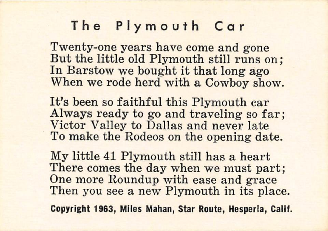#### The Plymouth Car

Twenty-one years have come and gone But the little old Plymouth still runs on; In Barstow we bought it that long ago When we rode herd with a Cowboy show.

It's been so faithful this Plymouth car Always ready to go and traveling so far; Victor Valley to Dallas and never late To make the Rodeos on the opening date.

My little 41 Plymouth still has a heart There comes the day when we must part; One more Roundup with ease and grace Then you see a new Plymouth in its place.

Copyright 1963, Miles Mahan, Star Route, Hesperia, Calif.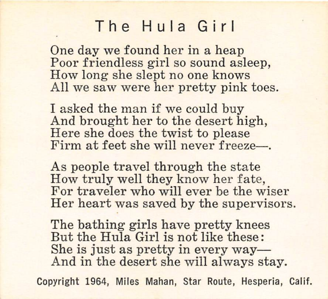# The Hula Girl

One day we found her in a heap Poor friendless girl so sound asleep. How long she slept no one knows All we saw were her pretty pink toes.

I asked the man if we could buy And brought her to the desert high, Here she does the twist to please I asked the manufacturer and the manufacturer and the manufacturer and the manufacturer and the manufacturer and the manufacturer and the manufacturer and the manufacturer and the manufacturer and the manufacturer and the

As people travel through the state How truly well they know her fate, For traveler who will ever be the wiser Her heart was saved by the supervisors.

The bathing girls have pretty knees But the Hula Girl is not like these: She is just as pretty in every way— And in the desert she will always stay.

Copyright 1964, Miles Mahan, Star Route, Hesperia, Calif.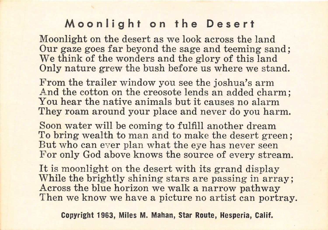## Moonlight on the Desert

Moonlight on the desert as we look across the land Our gaze goes far beyond the sage and teeming sand; We think of the wonders and the glory of this land<br>Only nature grew the bush before us where we stand.

From the trailer window you see the joshua's arm And the cotton on the creosote lends an added charm; You hear the native animals but it causes no alarm They roam around your place and never do you harm.

Soon water will be coming to fulfill another dream To bring wealth to man and to make the desert green; But who can ever plan what the eve has never seen For only God above knows the source of every stream.

It is moonlight on the desert with its grand display While the brightly shining stars are passing in array; Across the blue horizon we walk a narrow pathway Then we know we have a picture no artist can portray.

Copyright 1963, Miles M. Mahan, Star Route, Hesperia, Calif. Across the blue horizon we walk a narrow pathway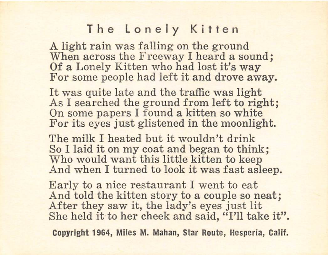## The Lonely Kitten

A light rain was falling on the ground When across the Freeway I heard a sound; Of a Lonely Kitten who had lost it's way<br>For some people had left it and drove away.

It was quite late and the traffic was light It was quite face and the trainc was fight<br>As I searched the ground from left to right On some papers I found a kitten so white<br>For its eyes just glistened in the moonlight.

The milk I heated but it wouldn't drink The mirk I heated but it wouldn't drink So I faid it on my coat and began to think Who would want this little kitten to keep<br>And when I turned to look it was fast asleep.

Early to a nice restaurant I went to eat And told the kitten story to a couple so neat; After they saw it, the lady's eyes just lit<br>She held it to her cheek and said. "I'll take it".

Copyright 1964, Miles M. Mahan, Star Route, Hesperia, Cal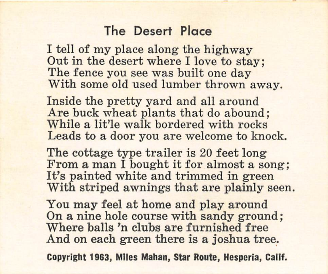#### The Desert Place

I tell of my place along the highway Out in the desert where I love to stay: The fence you see was built one day With some old used lumber thrown away.

Inside the pretty yard and all around Are buck wheat plants that do abound: While a lit'le walk bordered with rocks Leads to a door you are welcome to knock.

The cottage type trailer is 20 feet long From a man I bought it for almost a song: It's painted white and trimmed in green With striped awnings that are plainly seen.

You may feel at home and play around On a nine hole course with sandy ground: Where balls 'n clubs are furnished free. And on each green there is a joshua tree.

Copyright 1963, Miles Mahan, Star Route, Hesperia, Calif.